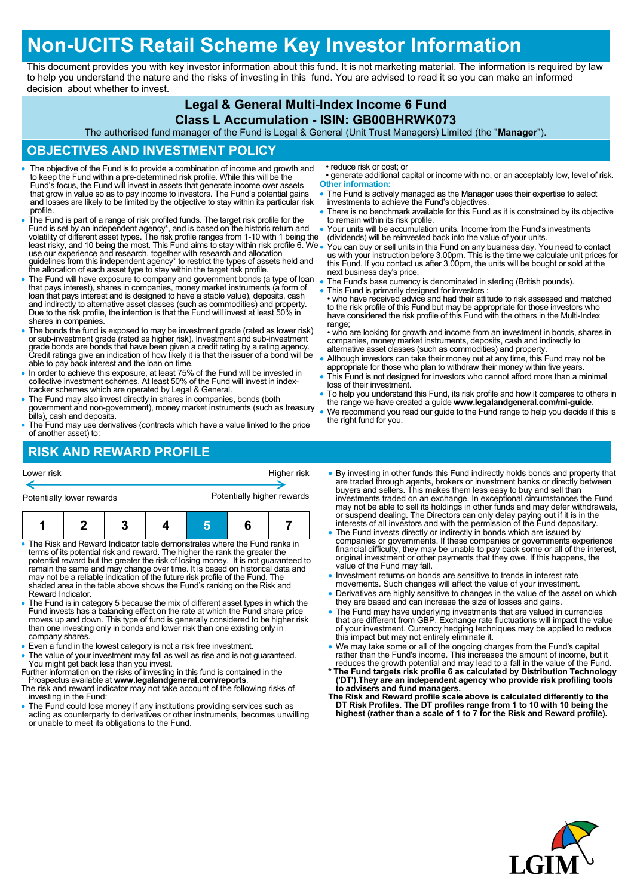## **Non-UCITS Retail Scheme Key Investor Information**

This document provides you with key investor information about this fund. It is not marketing material. The information is required by law to help you understand the nature and the risks of investing in this fund. You are advised to read it so you can make an informed decision about whether to invest.

### **Legal & General Multi-Index Income 6 Fund**

#### **Class L Accumulation - ISIN: GB00BHRWK073**

The authorised fund manager of the Fund is Legal & General (Unit Trust Managers) Limited (the "**Manager**").

#### **OBJECTIVES AND INVESTMENT POLICY**

- The objective of the Fund is to provide a combination of income and growth and to keep the Fund within a pre-determined risk profile. While this will be the Fund's focus, the Fund will invest in assets that generate income over assets that grow in value so as to pay income to investors. The Fund's potential gains and losses are likely to be limited by the objective to stay within its particular risk profile.
- The Fund is part of a range of risk profiled funds. The target risk profile for the Fund is set by an independent agency\*, and is based on the historic return and volatility of different asset types. The risk profile ranges from 1-10 with 1 being the least risky, and 10 being the most. This Fund aims to stay within risk profile 6. We use our experience and research, together with research and allocation guidelines from this independent agency\* to restrict the types of assets held and the allocation of each asset type to stay within the target risk profile.
- The Fund will have exposure to company and government bonds (a type of loan<br>that pays interest), shares in companies, money market instruments (a form of<br>loan that pays interest and is designed to have a stable value), d and indirectly to alternative asset classes (such as commodities) and property. Due to the risk profile, the intention is that the Fund will invest at least 50% in shares in companies.
- The bonds the fund is exposed to may be investment grade (rated as lower risk) or sub-investment grade (rated as higher risk). Investment and sub-investment grade bonds are bonds that have been given a credit rating by a able to pay back interest and the loan on time.
- In order to achieve this exposure, at least 75% of the Fund will be invested in collective investment schemes. At least 50% of the Fund will invest in indextracker schemes which are operated by Legal & General.
- The Fund may also invest directly in shares in companies, bonds (both government and non-government), money market instruments (such as treasury bills), cash and deposits.
- The Fund may use derivatives (contracts which have a value linked to the price of another asset) to:

## **RISK AND REWARD PROFILE**

• reduce risk or cost; or

- generate additional capital or income with no, or an acceptably low, level of risk. **Other information:**
- The Fund is actively managed as the Manager uses their expertise to select investments to achieve the Fund's objectives.
- There is no benchmark available for this Fund as it is constrained by its objective to remain within its risk profile.
- Your units will be accumulation units. Income from the Fund's investments (dividends) will be reinvested back into the value of your units.
- You can buy or sell units in this Fund on any business day. You need to contact us with your instruction before 3.00pm. This is the time we calculate unit prices for this Fund. If you contact us after 3.00pm, the units will be bought or sold at the next business day's price.
- The Fund's base currency is denominated in sterling (British pounds).
- This Fund is primarily designed for investors :

• who have received advice and had their attitude to risk assessed and matched to the risk profile of this Fund but may be appropriate for those investors who have considered the risk profile of this Fund with the others in the Multi-Index range:

• who are looking for growth and income from an investment in bonds, shares in companies, money market instruments, deposits, cash and indirectly to alternative asset classes (such as commodities) and property.

- Although investors can take their money out at any time, this Fund may not be appropriate for those who plan to withdraw their money within five years
- This Fund is not designed for investors who cannot afford more than a minimal loss of their investment.
- To help you understand this Fund, its risk profile and how it compares to others in the range we have created a guide **www.legalandgeneral.com/mi-guide**.
- We recommend you read our guide to the Fund range to help you decide if this is the right fund for you.

# Potentially lower rewards **Potentially higher rewards 1 2 3 4 5 6 7**

Lower risk Higher risk

- The Risk and Reward Indicator table demonstrates where the Fund ranks in terms of its potential risk and reward. The higher the rank the greater the potential reward but the greater the risk of losing money. It is not guaranteed to remain the same and may change over time. It is based on historical data and may not be a reliable indication of the future risk profile of the Fund. The shaded area in the table above shows the Fund's ranking on the Risk and Reward Indicator.
- The Fund is in category 5 because the mix of different asset types in which the Fund invests has a balancing effect on the rate at which the Fund share price moves up and down. This type of fund is generally considered to be higher risk than one investing only in bonds and lower risk than one existing only in company shares.
- Even a fund in the lowest category is not a risk free investment.
- The value of your investment may fall as well as rise and is not guaranteed. You might get back less than you invest. Further information on the risks of investing in this fund is contained in the
- Prospectus available at **www.legalandgeneral.com/reports**.
- The risk and reward indicator may not take account of the following risks of investing in the Fund:
- The Fund could lose money if any institutions providing services such as acting as counterparty to derivatives or other instruments, becomes unwilling or unable to meet its obligations to the Fund.
- By investing in other funds this Fund indirectly holds bonds and property that are traded through agents, brokers or investment banks or directly between buyers and sellers. This makes them less easy to buy and sell than investments traded on an exchange. In exceptional circumstances the Fund may not be able to sell its holdings in other funds and may defer withdrawals, or suspend dealing. The Directors can only delay paying out if it is in the interests of all investors and with the permission of the Fund depositary.
- The Fund invests directly or indirectly in bonds which are issued by companies or governments. If these companies or governments experience financial difficulty, they may be unable to pay back some or all of the interest, original investment or other payments that they owe. If this happens, the value of the Fund may fall.
- Investment returns on bonds are sensitive to trends in interest rate
- movements. Such changes will affect the value of your investment. Derivatives are highly sensitive to changes in the value of the asset on which they are based and can increase the size of losses and gains.
- The Fund may have underlying investments that are valued in currencies that are different from GBP. Exchange rate fluctuations will impact the value of your investment. Currency hedging techniques may be applied to reduce this impact but may not entirely eliminate it.
- We may take some or all of the ongoing charges from the Fund's capital<br>rather than the Fund's income. This increases the amount of income, but it<br>reduces the growth potential and may lead to a fall in the value of the Fu
- **\* The Fund targets risk profile 6 as calculated by Distribution Technology ('DT').They are an independent agency who provide risk profiling tools to advisers and fund managers. The Risk and Reward profile scale above is calculated differently to the**
- **DT Risk Profiles. The DT profiles range from 1 to 10 with 10 being the highest (rather than a scale of 1 to 7 for the Risk and Reward profile).**